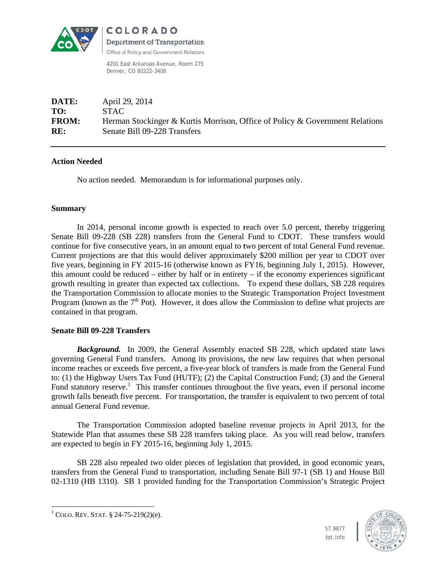

COLORADO Department of Transportation. Office of Policy and Government Relations

4201 East Arkansas Avenue, Room 275 Denver, CO 80222-3406

| DATE:        | April 29, 2014                                                               |
|--------------|------------------------------------------------------------------------------|
| TO:          | STAC.                                                                        |
| <b>FROM:</b> | Herman Stockinger & Kurtis Morrison, Office of Policy & Government Relations |
| RE:          | Senate Bill 09-228 Transfers                                                 |

### **Action Needed**

No action needed. Memorandum is for informational purposes only.

# **Summary**

In 2014, personal income growth is expected to reach over 5.0 percent, thereby triggering Senate Bill 09-228 (SB 228) transfers from the General Fund to CDOT. These transfers would continue for five consecutive years, in an amount equal to two percent of total General Fund revenue. Current projections are that this would deliver approximately \$200 million per year to CDOT over five years, beginning in FY 2015-16 (otherwise known as FY16, beginning July 1, 2015). However, this amount could be reduced – either by half or in entirety – if the economy experiences significant growth resulting in greater than expected tax collections. To expend these dollars, SB 228 requires the Transportation Commission to allocate monies to the Strategic Transportation Project Investment Program (known as the  $7<sup>th</sup>$  Pot). However, it does allow the Commission to define what projects are contained in that program.

# **Senate Bill 09-228 Transfers**

**Background.** In 2009, the General Assembly enacted SB 228, which updated state laws governing General Fund transfers. Among its provisions, the new law requires that when personal income reaches or exceeds five percent, a five-year block of transfers is made from the General Fund to: (1) the Highway Users Tax Fund (HUTF); (2) the Capital Construction Fund; (3) and the General Fund statutory reserve.<sup>1</sup> This transfer continues throughout the five years, even if personal income growth falls beneath five percent. For transportation, the transfer is equivalent to two percent of total annual General Fund revenue.

The Transportation Commission adopted baseline revenue projects in April 2013, for the Statewide Plan that assumes these SB 228 transfers taking place. As you will read below, transfers are expected to begin in FY 2015-16, beginning July 1, 2015.

SB 228 also repealed two older pieces of legislation that provided, in good economic years, transfers from the General Fund to transportation, including Senate Bill 97-1 (SB 1) and House Bill 02-1310 (HB 1310). SB 1 provided funding for the Transportation Commission's Strategic Project



<sup>&</sup>lt;sup>1</sup> COLO. REV. STAT. § 24-75-219(2)(e).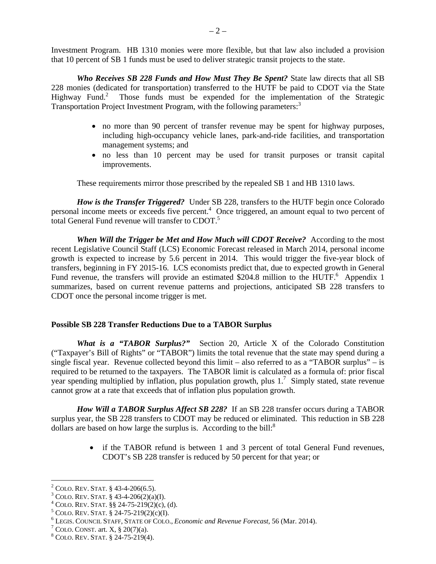Investment Program. HB 1310 monies were more flexible, but that law also included a provision that 10 percent of SB 1 funds must be used to deliver strategic transit projects to the state.

*Who Receives SB 228 Funds and How Must They Be Spent?* State law directs that all SB 228 monies (dedicated for transportation) transferred to the HUTF be paid to CDOT via the State Highway Fund.<sup>2</sup> Those funds must be expended for the implementation of the Strategic Transportation Project Investment Program, with the following parameters:<sup>3</sup>

- no more than 90 percent of transfer revenue may be spent for highway purposes, including high-occupancy vehicle lanes, park-and-ride facilities, and transportation management systems; and
- no less than 10 percent may be used for transit purposes or transit capital improvements.

These requirements mirror those prescribed by the repealed SB 1 and HB 1310 laws.

*How is the Transfer Triggered?* Under SB 228, transfers to the HUTF begin once Colorado personal income meets or exceeds five percent.<sup>4</sup> Once triggered, an amount equal to two percent of total General Fund revenue will transfer to CDOT.<sup>5</sup>

*When Will the Trigger be Met and How Much will CDOT Receive?* According to the most recent Legislative Council Staff (LCS) Economic Forecast released in March 2014, personal income growth is expected to increase by 5.6 percent in 2014. This would trigger the five-year block of transfers, beginning in FY 2015-16. LCS economists predict that, due to expected growth in General Fund revenue, the transfers will provide an estimated \$204.8 million to the HUTF.<sup>6</sup> Appendix 1 summarizes, based on current revenue patterns and projections, anticipated SB 228 transfers to CDOT once the personal income trigger is met.

### **Possible SB 228 Transfer Reductions Due to a TABOR Surplus**

*What is a "TABOR Surplus?"* Section 20, Article X of the Colorado Constitution ("Taxpayer's Bill of Rights" or "TABOR") limits the total revenue that the state may spend during a single fiscal year. Revenue collected beyond this limit – also referred to as a "TABOR surplus" – is required to be returned to the taxpayers. The TABOR limit is calculated as a formula of: prior fiscal year spending multiplied by inflation, plus population growth, plus  $1<sup>7</sup>$  Simply stated, state revenue cannot grow at a rate that exceeds that of inflation plus population growth.

*How Will a TABOR Surplus Affect SB 228?* If an SB 228 transfer occurs during a TABOR surplus year, the SB 228 transfers to CDOT may be reduced or eliminated. This reduction in SB 228 dollars are based on how large the surplus is. According to the bill: $8$ 

> • if the TABOR refund is between 1 and 3 percent of total General Fund revenues, CDOT's SB 228 transfer is reduced by 50 percent for that year; or

 $\overline{a}$ 

<sup>&</sup>lt;sup>2</sup> COLO. REV. STAT. § 43-4-206(6.5).

 $3$  COLO. REV. STAT. § 43-4-206(2)(a)(I).

<sup>&</sup>lt;sup>4</sup> COLO. REV. STAT.  $\S$ § 24-75-219(2)(c), (d).

 $5$  COLO. REV. STAT. § 24-75-219(2)(c)(I).

LEGIS. COUNCIL STAFF, STATE OF COLO., *Economic and Revenue Forecast*, 56 (Mar. 2014). 7

<sup>&</sup>lt;sup>7</sup> COLO. CONST. art. X, § 20(7)(a).

COLO. REV. STAT. § 24-75-219(4).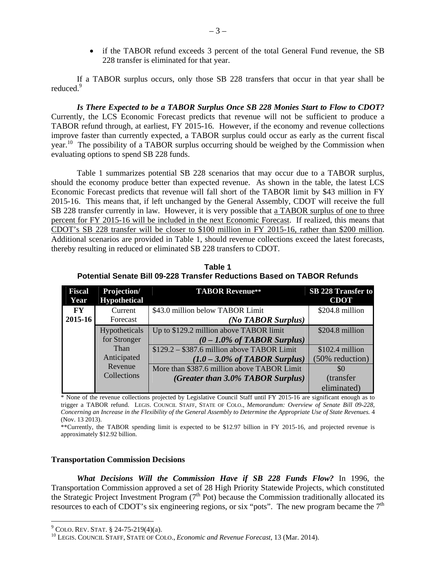• if the TABOR refund exceeds 3 percent of the total General Fund revenue, the SB 228 transfer is eliminated for that year.

If a TABOR surplus occurs, only those SB 228 transfers that occur in that year shall be reduced.<sup>9</sup>

*Is There Expected to be a TABOR Surplus Once SB 228 Monies Start to Flow to CDOT?*  Currently, the LCS Economic Forecast predicts that revenue will not be sufficient to produce a TABOR refund through, at earliest, FY 2015-16. However, if the economy and revenue collections improve faster than currently expected, a TABOR surplus could occur as early as the current fiscal year.<sup>10</sup> The possibility of a TABOR surplus occurring should be weighed by the Commission when evaluating options to spend SB 228 funds.

Table 1 summarizes potential SB 228 scenarios that may occur due to a TABOR surplus, should the economy produce better than expected revenue. As shown in the table, the latest LCS Economic Forecast predicts that revenue will fall short of the TABOR limit by \$43 million in FY 2015-16. This means that, if left unchanged by the General Assembly, CDOT will receive the full SB 228 transfer currently in law. However, it is very possible that a TABOR surplus of one to three percent for FY 2015-16 will be included in the next Economic Forecast. If realized, this means that CDOT's SB 228 transfer will be closer to \$100 million in FY 2015-16, rather than \$200 million. Additional scenarios are provided in Table 1, should revenue collections exceed the latest forecasts, thereby resulting in reduced or eliminated SB 228 transfers to CDOT.

**Table 1 Potential Senate Bill 09-228 Transfer Reductions Based on TABOR Refunds** 

| <b>Fiscal</b><br>Year  | Projection/<br><b>Hypothetical</b> | <b>TABOR Revenue**</b>                      | <b>SB 228 Transfer to</b><br><b>CDOT</b> |
|------------------------|------------------------------------|---------------------------------------------|------------------------------------------|
|                        |                                    |                                             |                                          |
| $\mathbf{F}\mathbf{Y}$ | Current                            | \$43.0 million below TABOR Limit            | \$204.8 million                          |
| $2015 - 16$            | Forecast                           | (No TABOR Surplus)                          |                                          |
|                        | Hypotheticals                      | Up to \$129.2 million above TABOR limit     | \$204.8 million                          |
|                        | for Stronger                       | $(0 - 1.0\%$ of TABOR Surplus)              |                                          |
|                        | Than                               | $$129.2 - $387.6$ million above TABOR Limit | \$102.4 million                          |
|                        | Anticipated                        | $(1.0 - 3.0\%$ of TABOR Surplus)            | (50% reduction)                          |
|                        | Revenue                            | More than \$387.6 million above TABOR Limit | \$0                                      |
|                        | Collections                        | (Greater than 3.0% TABOR Surplus)           | (transfer                                |
|                        |                                    |                                             | eliminated)                              |

\* None of the revenue collections projected by Legislative Council Staff until FY 2015-16 are significant enough as to trigger a TABOR refund. LEGIS. COUNCIL STAFF, STATE OF COLO., *Memorandum: Overview of Senate Bill 09-228, Concerning an Increase in the Flexibility of the General Assembly to Determine the Appropriate Use of State Revenues.* 4 (Nov. 13 2013).

\*\*Currently, the TABOR spending limit is expected to be \$12.97 billion in FY 2015-16, and projected revenue is approximately \$12.92 billion.

#### **Transportation Commission Decisions**

*What Decisions Will the Commission Have if SB 228 Funds Flow?* In 1996, the Transportation Commission approved a set of 28 High Priority Statewide Projects, which constituted the Strategic Project Investment Program  $(7<sup>th</sup>$  Pot) because the Commission traditionally allocated its resources to each of CDOT's six engineering regions, or six "pots". The new program became the  $7<sup>th</sup>$ 

 $\overline{a}$ 

<sup>&</sup>lt;sup>9</sup> COLO. REV. STAT. § 24-75-219(4)(a).

<sup>&</sup>lt;sup>10</sup> LEGIS. COUNCIL STAFF, STATE OF COLO., *Economic and Revenue Forecast*, 13 (Mar. 2014).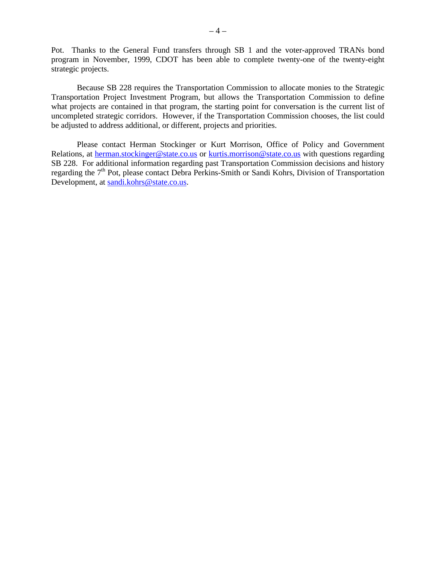Pot. Thanks to the General Fund transfers through SB 1 and the voter-approved TRANs bond program in November, 1999, CDOT has been able to complete twenty-one of the twenty-eight strategic projects.

Because SB 228 requires the Transportation Commission to allocate monies to the Strategic Transportation Project Investment Program, but allows the Transportation Commission to define what projects are contained in that program, the starting point for conversation is the current list of uncompleted strategic corridors. However, if the Transportation Commission chooses, the list could be adjusted to address additional, or different, projects and priorities.

Please contact Herman Stockinger or Kurt Morrison, Office of Policy and Government Relations, at herman.stockinger@state.co.us or kurtis.morrison@state.co.us with questions regarding SB 228. For additional information regarding past Transportation Commission decisions and history regarding the 7<sup>th</sup> Pot, please contact Debra Perkins-Smith or Sandi Kohrs, Division of Transportation Development, at sandi.kohrs@state.co.us.